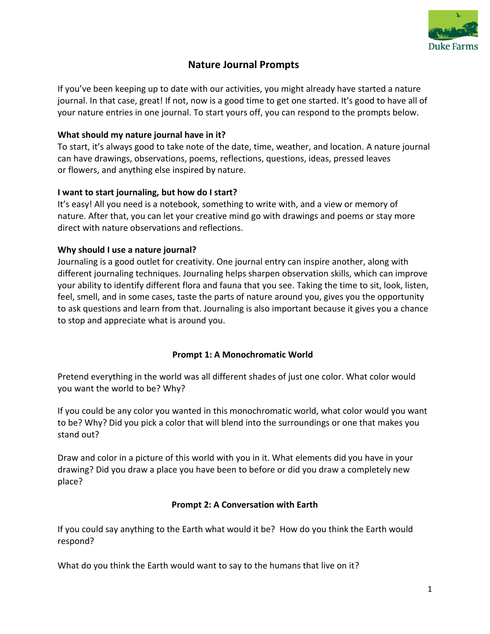

# **Nature Journal Prompts**

If you've been keeping up to date with our activities, you might already have started a nature journal. In that case, great! If not, now is a good time to get one started. It's good to have all of your nature entries in one journal. To start yours off, you can respond to the prompts below.

#### **What should my nature journal have in it?**

To start, it's always good to take note of the date, time, weather, and location. A nature journal can have drawings, observations, poems, reflections, questions, ideas, pressed leaves or flowers, and anything else inspired by nature.

### **I want to start journaling, but how do I start?**

It's easy! All you need is a notebook, something to write with, and a view or memory of nature. After that, you can let your creative mind go with drawings and poems or stay more direct with nature observations and reflections.

### **Why should I use a nature journal?**

Journaling is a good outlet for creativity. One journal entry can inspire another, along with different journaling techniques. Journaling helps sharpen observation skills, which can improve your ability to identify different flora and fauna that you see. Taking the time to sit, look, listen, feel, smell, and in some cases, taste the parts of nature around you, gives you the opportunity to ask questions and learn from that. Journaling is also important because it gives you a chance to stop and appreciate what is around you.

## **Prompt 1: A Monochromatic World**

Pretend everything in the world was all different shades of just one color. What color would you want the world to be? Why?

If you could be any color you wanted in this monochromatic world, what color would you want to be? Why? Did you pick a color that will blend into the surroundings or one that makes you stand out?

Draw and color in a picture of this world with you in it. What elements did you have in your drawing? Did you draw a place you have been to before or did you draw a completely new place?

#### **Prompt 2: A Conversation with Earth**

If you could say anything to the Earth what would it be? How do you think the Earth would respond?

What do you think the Earth would want to say to the humans that live on it?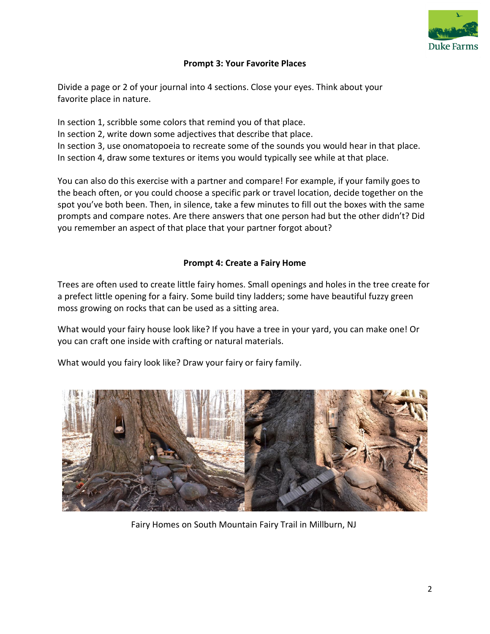

### **Prompt 3: Your Favorite Places**

Divide a page or 2 of your journal into 4 sections. Close your eyes. Think about your favorite place in nature.

In section 1, scribble some colors that remind you of that place. In section 2, write down some adjectives that describe that place. In section 3, use onomatopoeia to recreate some of the sounds you would hear in that place. In section 4, draw some textures or items you would typically see while at that place.

You can also do this exercise with a partner and compare! For example, if your family goes to the beach often, or you could choose a specific park or travel location, decide together on the spot you've both been. Then, in silence, take a few minutes to fill out the boxes with the same prompts and compare notes. Are there answers that one person had but the other didn't? Did you remember an aspect of that place that your partner forgot about?

### **Prompt 4: Create a Fairy Home**

Trees are often used to create little fairy homes. Small openings and holes in the tree create for a prefect little opening for a fairy. Some build tiny ladders; some have beautiful fuzzy green moss growing on rocks that can be used as a sitting area.

What would your fairy house look like? If you have a tree in your yard, you can make one! Or you can craft one inside with crafting or natural materials.

What would you fairy look like? Draw your fairy or fairy family.



Fairy Homes on South Mountain Fairy Trail in Millburn, NJ